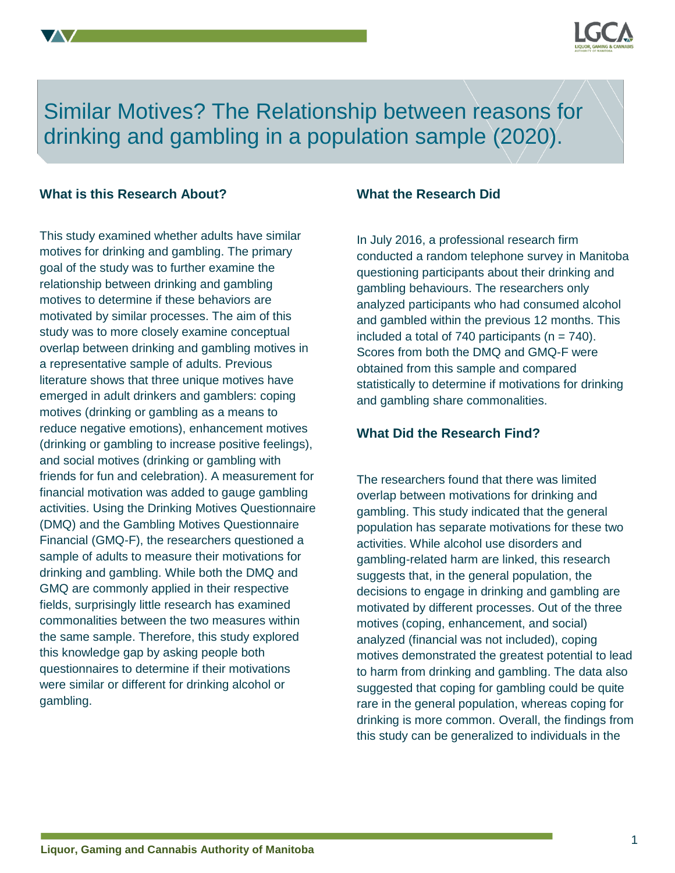

Similar Motives? The Relationship between reasons for drinking and gambling in a population sample (2020).

### **What is this Research About?**

This study examined whether adults have similar motives for drinking and gambling. The primary goal of the study was to further examine the relationship between drinking and gambling motives to determine if these behaviors are motivated by similar processes. The aim of this study was to more closely examine conceptual overlap between drinking and gambling motives in a representative sample of adults. Previous literature shows that three unique motives have emerged in adult drinkers and gamblers: coping motives (drinking or gambling as a means to reduce negative emotions), enhancement motives (drinking or gambling to increase positive feelings), and social motives (drinking or gambling with friends for fun and celebration). A measurement for financial motivation was added to gauge gambling activities. Using the Drinking Motives Questionnaire (DMQ) and the Gambling Motives Questionnaire Financial (GMQ-F), the researchers questioned a sample of adults to measure their motivations for drinking and gambling. While both the DMQ and GMQ are commonly applied in their respective fields, surprisingly little research has examined commonalities between the two measures within the same sample. Therefore, this study explored this knowledge gap by asking people both questionnaires to determine if their motivations were similar or different for drinking alcohol or gambling.

#### **What the Research Did**

In July 2016, a professional research firm conducted a random telephone survey in Manitoba questioning participants about their drinking and gambling behaviours. The researchers only analyzed participants who had consumed alcohol and gambled within the previous 12 months. This included a total of 740 participants ( $n = 740$ ). Scores from both the DMQ and GMQ-F were obtained from this sample and compared statistically to determine if motivations for drinking and gambling share commonalities.

## **What Did the Research Find?**

The researchers found that there was limited overlap between motivations for drinking and gambling. This study indicated that the general population has separate motivations for these two activities. While alcohol use disorders and gambling-related harm are linked, this research suggests that, in the general population, the decisions to engage in drinking and gambling are motivated by different processes. Out of the three motives (coping, enhancement, and social) analyzed (financial was not included), coping motives demonstrated the greatest potential to lead to harm from drinking and gambling. The data also suggested that coping for gambling could be quite rare in the general population, whereas coping for drinking is more common. Overall, the findings from this study can be generalized to individuals in the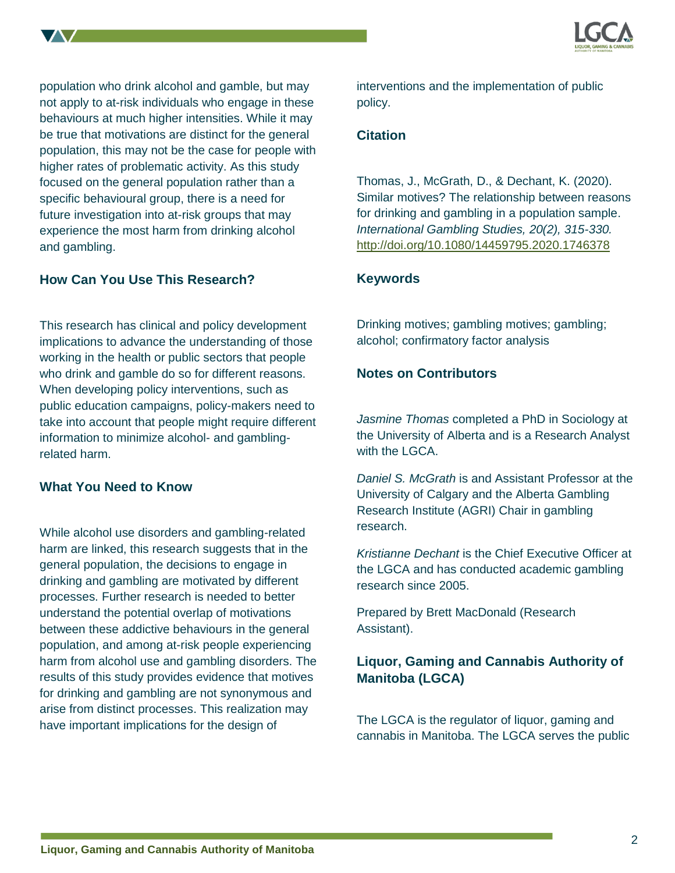

population who drink alcohol and gamble, but may not apply to at-risk individuals who engage in these behaviours at much higher intensities. While it may be true that motivations are distinct for the general population, this may not be the case for people with higher rates of problematic activity. As this study focused on the general population rather than a specific behavioural group, there is a need for future investigation into at-risk groups that may experience the most harm from drinking alcohol and gambling.

## **How Can You Use This Research?**

This research has clinical and policy development implications to advance the understanding of those working in the health or public sectors that people who drink and gamble do so for different reasons. When developing policy interventions, such as public education campaigns, policy-makers need to take into account that people might require different information to minimize alcohol- and gamblingrelated harm.

### **What You Need to Know**

While alcohol use disorders and gambling-related harm are linked, this research suggests that in the general population, the decisions to engage in drinking and gambling are motivated by different processes. Further research is needed to better understand the potential overlap of motivations between these addictive behaviours in the general population, and among at-risk people experiencing harm from alcohol use and gambling disorders. The results of this study provides evidence that motives for drinking and gambling are not synonymous and arise from distinct processes. This realization may have important implications for the design of

interventions and the implementation of public policy.

## **Citation**

Thomas, J., McGrath, D., & Dechant, K. (2020). Similar motives? The relationship between reasons for drinking and gambling in a population sample. *International Gambling Studies, 20(2), 315-330.*  <http://doi.org/10.1080/14459795.2020.1746378>

## **Keywords**

Drinking motives; gambling motives; gambling; alcohol; confirmatory factor analysis

## **Notes on Contributors**

*Jasmine Thomas* completed a PhD in Sociology at the University of Alberta and is a Research Analyst with the LGCA.

*Daniel S. McGrath* is and Assistant Professor at the University of Calgary and the Alberta Gambling Research Institute (AGRI) Chair in gambling research.

*Kristianne Dechant* is the Chief Executive Officer at the LGCA and has conducted academic gambling research since 2005.

Prepared by Brett MacDonald (Research Assistant).

# **Liquor, Gaming and Cannabis Authority of Manitoba (LGCA)**

The LGCA is the regulator of liquor, gaming and cannabis in Manitoba. The LGCA serves the public